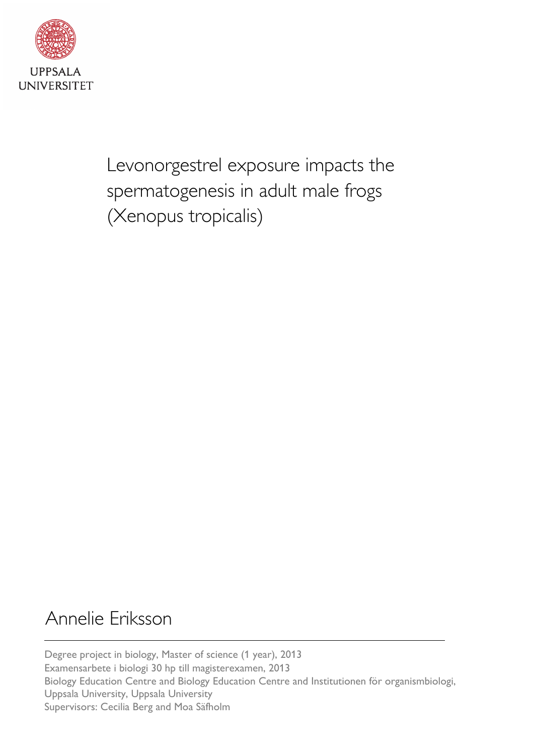

Levonorgestrel exposure impacts the spermatogenesis in adult male frogs (Xenopus tropicalis)

# Annelie Eriksson

Degree project in biology, Master of science (1 year), 2013 Examensarbete i biologi 30 hp till magisterexamen, 2013 Biology Education Centre and Biology Education Centre and Institutionen för organismbiologi, Uppsala University, Uppsala University Supervisors: Cecilia Berg and Moa Säfholm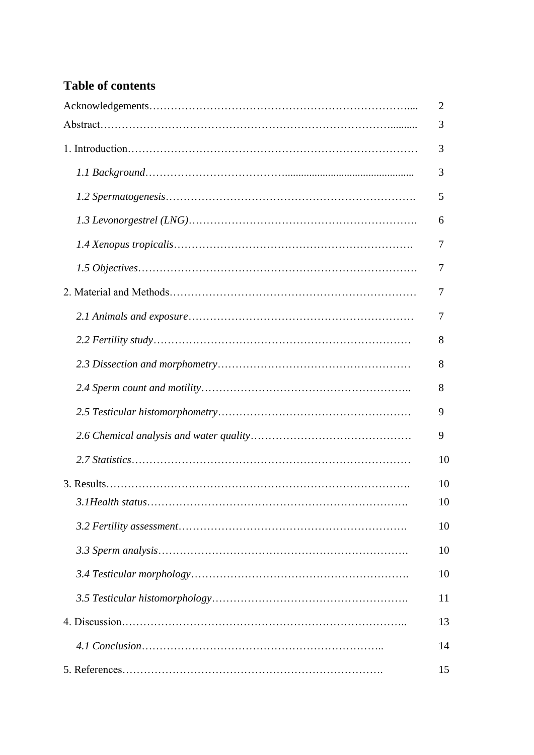## **Table of contents**

| $\overline{2}$ |
|----------------|
| 3              |
| 3              |
| 3              |
| 5              |
| 6              |
| 7              |
| 7              |
| 7              |
| 7              |
| 8              |
| 8              |
| 8              |
| 9              |
| 9              |
| 10             |
| 10             |
| 10             |
| 10             |
| 10             |
| 10             |
| 11             |
| 13             |
| 14             |
| 15             |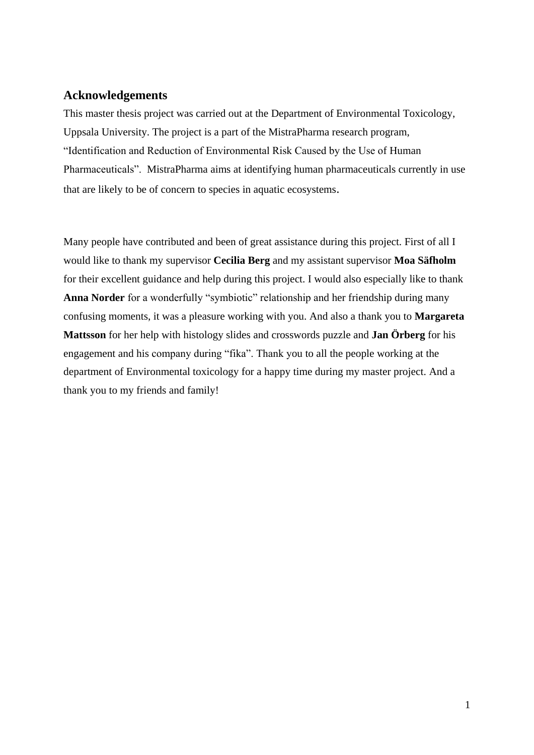## **Acknowledgements**

This master thesis project was carried out at the Department of Environmental Toxicology, Uppsala University. The project is a part of the MistraPharma research program, "Identification and Reduction of Environmental Risk Caused by the Use of Human Pharmaceuticals". MistraPharma aims at identifying human pharmaceuticals currently in use that are likely to be of concern to species in aquatic ecosystems.

Many people have contributed and been of great assistance during this project. First of all I would like to thank my supervisor **Cecilia Berg** and my assistant supervisor **Moa Säfholm** for their excellent guidance and help during this project. I would also especially like to thank **Anna Norder** for a wonderfully "symbiotic" relationship and her friendship during many confusing moments, it was a pleasure working with you. And also a thank you to **Margareta Mattsson** for her help with histology slides and crosswords puzzle and **Jan Örberg** for his engagement and his company during "fika". Thank you to all the people working at the department of Environmental toxicology for a happy time during my master project. And a thank you to my friends and family!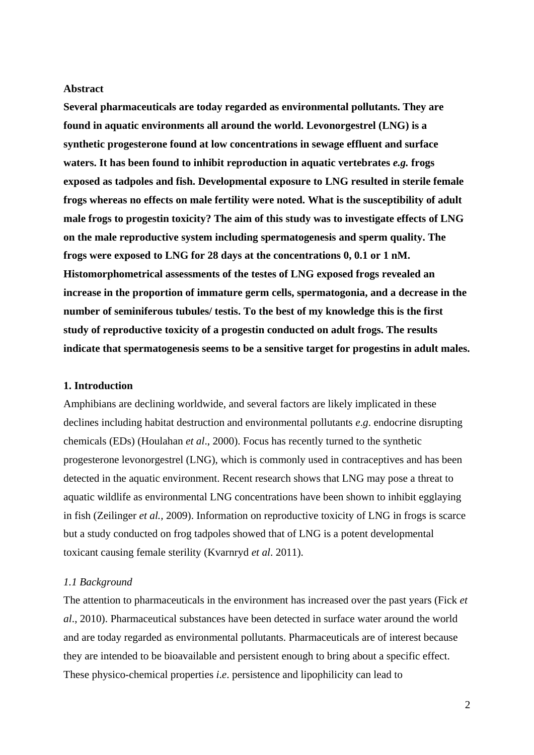#### **Abstract**

**Several pharmaceuticals are today regarded as environmental pollutants. They are found in aquatic environments all around the world. Levonorgestrel (LNG) is a synthetic progesterone found at low concentrations in sewage effluent and surface waters. It has been found to inhibit reproduction in aquatic vertebrates** *e.g.* **frogs exposed as tadpoles and fish. Developmental exposure to LNG resulted in sterile female frogs whereas no effects on male fertility were noted. What is the susceptibility of adult male frogs to progestin toxicity? The aim of this study was to investigate effects of LNG on the male reproductive system including spermatogenesis and sperm quality. The frogs were exposed to LNG for 28 days at the concentrations 0, 0.1 or 1 nM. Histomorphometrical assessments of the testes of LNG exposed frogs revealed an increase in the proportion of immature germ cells, spermatogonia, and a decrease in the number of seminiferous tubules/ testis. To the best of my knowledge this is the first study of reproductive toxicity of a progestin conducted on adult frogs. The results indicate that spermatogenesis seems to be a sensitive target for progestins in adult males.** 

#### **1. Introduction**

Amphibians are declining worldwide, and several factors are likely implicated in these declines including habitat destruction and environmental pollutants *e*.*g*. endocrine disrupting chemicals (EDs) (Houlahan *et al*., 2000). Focus has recently turned to the synthetic progesterone levonorgestrel (LNG), which is commonly used in contraceptives and has been detected in the aquatic environment. Recent research shows that LNG may pose a threat to aquatic wildlife as environmental LNG concentrations have been shown to inhibit egglaying in fish (Zeilinger *et al.,* 2009). Information on reproductive toxicity of LNG in frogs is scarce but a study conducted on frog tadpoles showed that of LNG is a potent developmental toxicant causing female sterility (Kvarnryd *et al*. 2011).

#### *1.1 Background*

The attention to pharmaceuticals in the environment has increased over the past years (Fick *et al*., 2010). Pharmaceutical substances have been detected in surface water around the world and are today regarded as environmental pollutants. Pharmaceuticals are of interest because they are intended to be bioavailable and persistent enough to bring about a specific effect. These physico-chemical properties *i*.*e*. persistence and lipophilicity can lead to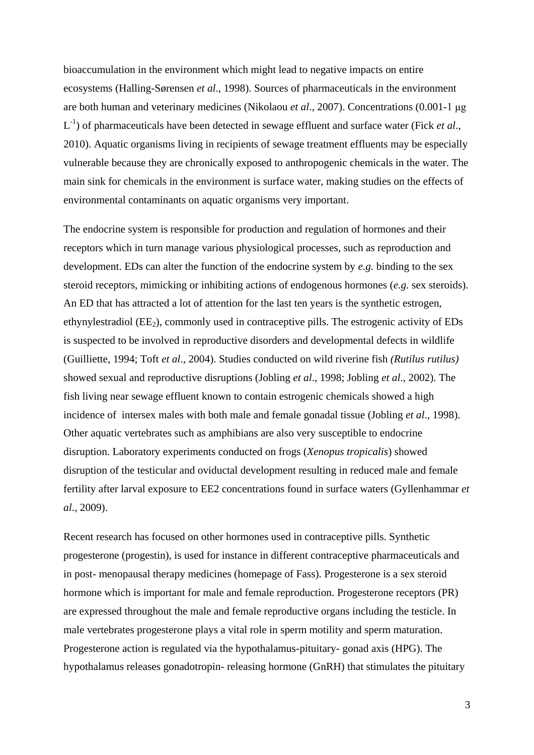bioaccumulation in the environment which might lead to negative impacts on entire ecosystems (Halling-Sørensen *et al*., 1998). Sources of pharmaceuticals in the environment are both human and veterinary medicines (Nikolaou *et al*., 2007). Concentrations (0.001-1 μg L<sup>-1</sup>) of pharmaceuticals have been detected in sewage effluent and surface water (Fick *et al.*, 2010). Aquatic organisms living in recipients of sewage treatment effluents may be especially vulnerable because they are chronically exposed to anthropogenic chemicals in the water. The main sink for chemicals in the environment is surface water, making studies on the effects of environmental contaminants on aquatic organisms very important.

The endocrine system is responsible for production and regulation of hormones and their receptors which in turn manage various physiological processes, such as reproduction and development. EDs can alter the function of the endocrine system by *e.g.* binding to the sex steroid receptors, mimicking or inhibiting actions of endogenous hormones (*e.g.* sex steroids). An ED that has attracted a lot of attention for the last ten years is the synthetic estrogen, ethynylestradiol ( $EE_2$ ), commonly used in contraceptive pills. The estrogenic activity of  $EDs$ is suspected to be involved in reproductive disorders and developmental defects in wildlife (Guilliette, 1994; Toft *et al*., 2004). Studies conducted on wild riverine fish *(Rutilus rutilus)* showed sexual and reproductive disruptions (Jobling *et al*., 1998; Jobling *et al*., 2002). The fish living near sewage effluent known to contain estrogenic chemicals showed a high incidence of intersex males with both male and female gonadal tissue (Jobling *et al*., 1998). Other aquatic vertebrates such as amphibians are also very susceptible to endocrine disruption. Laboratory experiments conducted on frogs (*Xenopus tropicalis*) showed disruption of the testicular and oviductal development resulting in reduced male and female fertility after larval exposure to EE2 concentrations found in surface waters (Gyllenhammar *et al*., 2009).

Recent research has focused on other hormones used in contraceptive pills. Synthetic progesterone (progestin), is used for instance in different contraceptive pharmaceuticals and in post- menopausal therapy medicines (homepage of Fass). Progesterone is a sex steroid hormone which is important for male and female reproduction. Progesterone receptors (PR) are expressed throughout the male and female reproductive organs including the testicle. In male vertebrates progesterone plays a vital role in sperm motility and sperm maturation. Progesterone action is regulated via the hypothalamus-pituitary- gonad axis (HPG). The hypothalamus releases gonadotropin- releasing hormone (GnRH) that stimulates the pituitary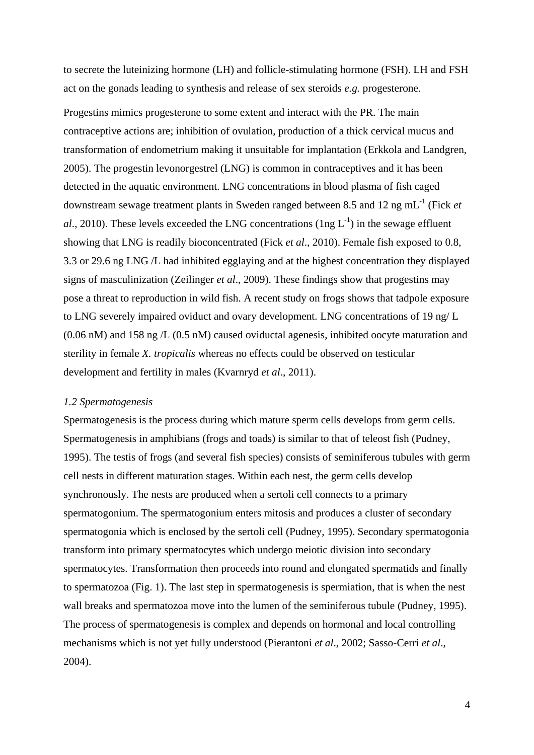to secrete the luteinizing hormone (LH) and follicle-stimulating hormone (FSH). LH and FSH act on the gonads leading to synthesis and release of sex steroids *e.g.* progesterone.

Progestins mimics progesterone to some extent and interact with the PR. The main contraceptive actions are; inhibition of ovulation, production of a thick cervical mucus and transformation of endometrium making it unsuitable for implantation (Erkkola and Landgren, 2005). The progestin levonorgestrel (LNG) is common in contraceptives and it has been detected in the aquatic environment. LNG concentrations in blood plasma of fish caged downstream sewage treatment plants in Sweden ranged between 8.5 and 12 ng mL-1 (Fick *et*   $al$ , 2010). These levels exceeded the LNG concentrations (1ng  $L^{-1}$ ) in the sewage effluent showing that LNG is readily bioconcentrated (Fick *et al*., 2010). Female fish exposed to 0.8, 3.3 or 29.6 ng LNG /L had inhibited egglaying and at the highest concentration they displayed signs of masculinization (Zeilinger *et al*., 2009). These findings show that progestins may pose a threat to reproduction in wild fish. A recent study on frogs shows that tadpole exposure to LNG severely impaired oviduct and ovary development. LNG concentrations of 19 ng/ L (0.06 nM) and 158 ng /L (0.5 nM) caused oviductal agenesis, inhibited oocyte maturation and sterility in female *X. tropicalis* whereas no effects could be observed on testicular development and fertility in males (Kvarnryd *et al*., 2011).

#### *1.2 Spermatogenesis*

Spermatogenesis is the process during which mature sperm cells develops from germ cells. Spermatogenesis in amphibians (frogs and toads) is similar to that of teleost fish (Pudney, 1995). The testis of frogs (and several fish species) consists of seminiferous tubules with germ cell nests in different maturation stages. Within each nest, the germ cells develop synchronously. The nests are produced when a sertoli cell connects to a primary spermatogonium. The spermatogonium enters mitosis and produces a cluster of secondary spermatogonia which is enclosed by the sertoli cell (Pudney, 1995). Secondary spermatogonia transform into primary spermatocytes which undergo meiotic division into secondary spermatocytes. Transformation then proceeds into round and elongated spermatids and finally to spermatozoa (Fig. 1). The last step in spermatogenesis is spermiation, that is when the nest wall breaks and spermatozoa move into the lumen of the seminiferous tubule (Pudney, 1995). The process of spermatogenesis is complex and depends on hormonal and local controlling mechanisms which is not yet fully understood (Pierantoni *et al*., 2002; Sasso-Cerri *et al*., 2004).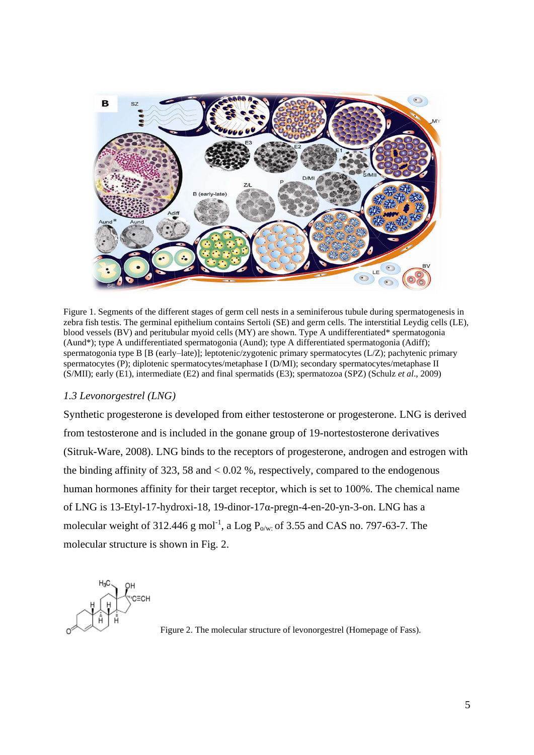

Figure 1. Segments of the different stages of germ cell nests in a seminiferous tubule during spermatogenesis in zebra fish testis. The germinal epithelium contains Sertoli (SE) and germ cells. The interstitial Leydig cells (LE), blood vessels (BV) and peritubular myoid cells (MY) are shown. Type A undifferentiated\* spermatogonia (Aund\*); type A undifferentiated spermatogonia (Aund); type A differentiated spermatogonia (Adiff); spermatogonia type B [B (early–late)]; leptotenic/zygotenic primary spermatocytes (L/Z); pachytenic primary spermatocytes (P); diplotenic spermatocytes/metaphase I (D/MI); secondary spermatocytes/metaphase II (S/MII); early (E1), intermediate (E2) and final spermatids (E3); spermatozoa (SPZ) (Schulz *et al*., 2009)

#### *1.3 Levonorgestrel (LNG)*

Synthetic progesterone is developed from either testosterone or progesterone. LNG is derived from testosterone and is included in the gonane group of 19-nortestosterone derivatives (Sitruk-Ware, 2008). LNG binds to the receptors of progesterone, androgen and estrogen with the binding affinity of 323, 58 and  $< 0.02$  %, respectively, compared to the endogenous human hormones affinity for their target receptor, which is set to 100%. The chemical name of LNG is 13-Etyl-17-hydroxi-18, 19-dinor-17 $\alpha$ -pregn-4-en-20-yn-3-on. LNG has a molecular weight of 312.446 g mol<sup>-1</sup>, a Log  $P_{o/w}$  of 3.55 and CAS no. 797-63-7. The molecular structure is shown in Fig. 2.



Figure 2. The molecular structure of levonorgestrel (Homepage of Fass).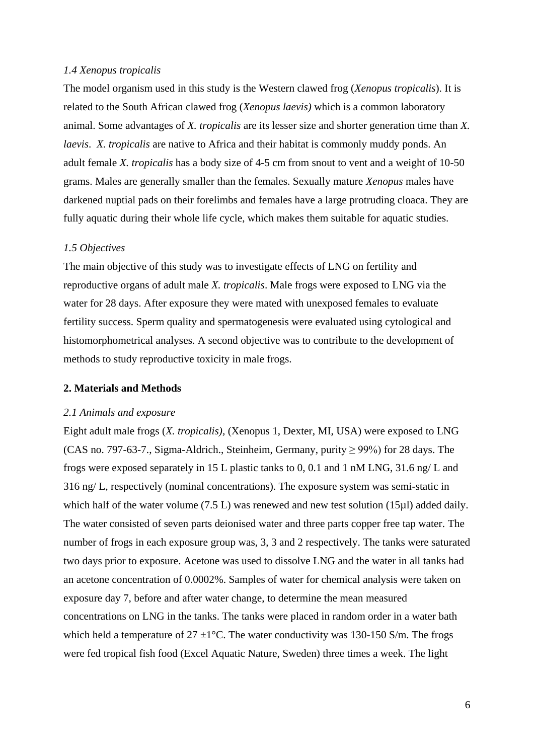#### *1.4 Xenopus tropicalis*

The model organism used in this study is the Western clawed frog (*Xenopus tropicalis*). It is related to the South African clawed frog (*Xenopus laevis)* which is a common laboratory animal. Some advantages of *X. tropicalis* are its lesser size and shorter generation time than *X. laevis*. *X. tropicalis* are native to Africa and their habitat is commonly muddy ponds. An adult female *X. tropicalis* has a body size of 4-5 cm from snout to vent and a weight of 10-50 grams. Males are generally smaller than the females. Sexually mature *Xenopus* males have darkened nuptial pads on their forelimbs and females have a large protruding cloaca. They are fully aquatic during their whole life cycle, which makes them suitable for aquatic studies.

#### *1.5 Objectives*

The main objective of this study was to investigate effects of LNG on fertility and reproductive organs of adult male *X. tropicalis*. Male frogs were exposed to LNG via the water for 28 days. After exposure they were mated with unexposed females to evaluate fertility success. Sperm quality and spermatogenesis were evaluated using cytological and histomorphometrical analyses. A second objective was to contribute to the development of methods to study reproductive toxicity in male frogs.

#### **2. Materials and Methods**

#### *2.1 Animals and exposure*

Eight adult male frogs (*X. tropicalis),* (Xenopus 1, Dexter, MI, USA) were exposed to LNG (CAS no. 797-63-7., Sigma-Aldrich., Steinheim, Germany, purity ≥ 99%) for 28 days. The frogs were exposed separately in 15 L plastic tanks to 0, 0.1 and 1 nM LNG, 31.6 ng/ L and 316 ng/ L, respectively (nominal concentrations). The exposure system was semi-static in which half of the water volume (7.5 L) was renewed and new test solution (15µl) added daily. The water consisted of seven parts deionised water and three parts copper free tap water. The number of frogs in each exposure group was, 3, 3 and 2 respectively. The tanks were saturated two days prior to exposure. Acetone was used to dissolve LNG and the water in all tanks had an acetone concentration of 0.0002%. Samples of water for chemical analysis were taken on exposure day 7, before and after water change, to determine the mean measured concentrations on LNG in the tanks. The tanks were placed in random order in a water bath which held a temperature of  $27 \pm 1^{\circ}$ C. The water conductivity was 130-150 S/m. The frogs were fed tropical fish food (Excel Aquatic Nature, Sweden) three times a week. The light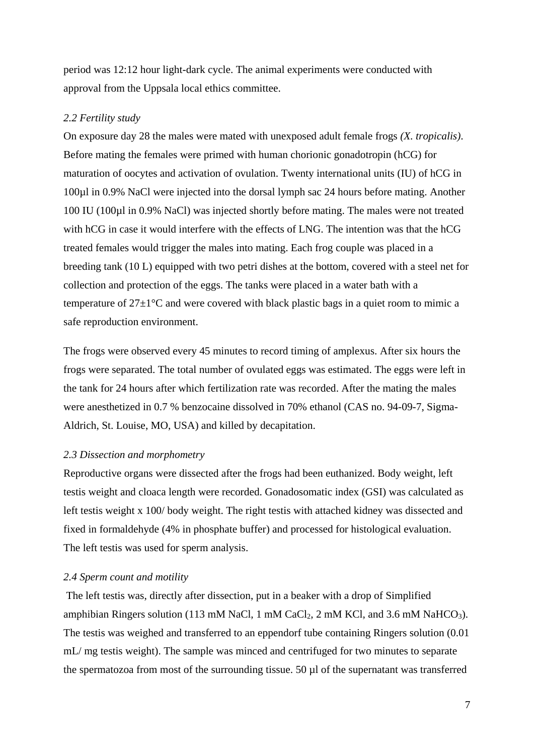period was 12:12 hour light-dark cycle. The animal experiments were conducted with approval from the Uppsala local ethics committee.

#### *2.2 Fertility study*

On exposure day 28 the males were mated with unexposed adult female frogs *(X. tropicalis)*. Before mating the females were primed with human chorionic gonadotropin (hCG) for maturation of oocytes and activation of ovulation. Twenty international units (IU) of hCG in 100µl in 0.9% NaCl were injected into the dorsal lymph sac 24 hours before mating. Another 100 IU (100µl in 0.9% NaCl) was injected shortly before mating. The males were not treated with hCG in case it would interfere with the effects of LNG. The intention was that the hCG treated females would trigger the males into mating. Each frog couple was placed in a breeding tank (10 L) equipped with two petri dishes at the bottom, covered with a steel net for collection and protection of the eggs. The tanks were placed in a water bath with a temperature of  $27\pm1\textdegree C$  and were covered with black plastic bags in a quiet room to mimic a safe reproduction environment.

The frogs were observed every 45 minutes to record timing of amplexus. After six hours the frogs were separated. The total number of ovulated eggs was estimated. The eggs were left in the tank for 24 hours after which fertilization rate was recorded. After the mating the males were anesthetized in 0.7 % benzocaine dissolved in 70% ethanol (CAS no. 94-09-7, Sigma-Aldrich, St. Louise, MO, USA) and killed by decapitation.

#### *2.3 Dissection and morphometry*

Reproductive organs were dissected after the frogs had been euthanized. Body weight, left testis weight and cloaca length were recorded. Gonadosomatic index (GSI) was calculated as left testis weight x 100/ body weight. The right testis with attached kidney was dissected and fixed in formaldehyde (4% in phosphate buffer) and processed for histological evaluation. The left testis was used for sperm analysis.

#### *2.4 Sperm count and motility*

The left testis was, directly after dissection, put in a beaker with a drop of Simplified amphibian Ringers solution (113 mM NaCl, 1 mM CaCl<sub>2</sub>, 2 mM KCl, and 3.6 mM NaHCO<sub>3</sub>). The testis was weighed and transferred to an eppendorf tube containing Ringers solution (0.01 mL/ mg testis weight). The sample was minced and centrifuged for two minutes to separate the spermatozoa from most of the surrounding tissue. 50 µl of the supernatant was transferred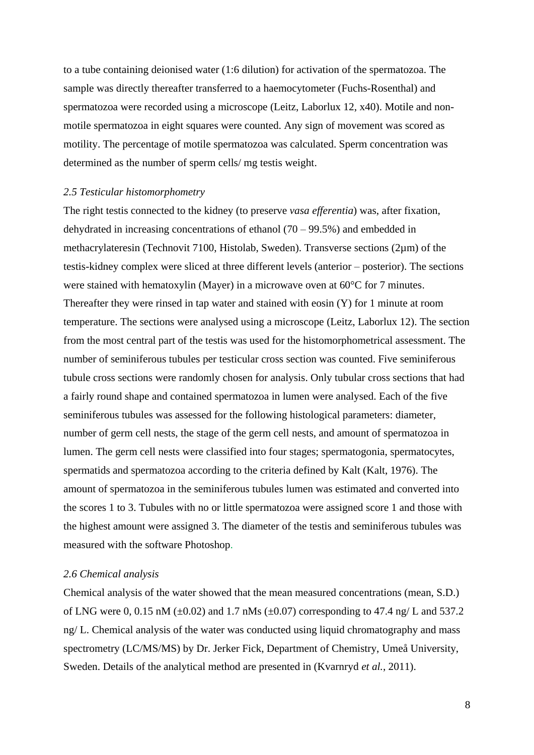to a tube containing deionised water (1:6 dilution) for activation of the spermatozoa. The sample was directly thereafter transferred to a haemocytometer (Fuchs-Rosenthal) and spermatozoa were recorded using a microscope (Leitz, Laborlux 12, x40). Motile and nonmotile spermatozoa in eight squares were counted. Any sign of movement was scored as motility. The percentage of motile spermatozoa was calculated. Sperm concentration was determined as the number of sperm cells/ mg testis weight.

#### *2.5 Testicular histomorphometry*

The right testis connected to the kidney (to preserve *vasa efferentia*) was, after fixation, dehydrated in increasing concentrations of ethanol  $(70 - 99.5%)$  and embedded in methacrylateresin (Technovit 7100, Histolab, Sweden). Transverse sections (2µm) of the testis-kidney complex were sliced at three different levels (anterior – posterior). The sections were stained with hematoxylin (Mayer) in a microwave oven at 60°C for 7 minutes. Thereafter they were rinsed in tap water and stained with eosin (Y) for 1 minute at room temperature. The sections were analysed using a microscope (Leitz, Laborlux 12). The section from the most central part of the testis was used for the histomorphometrical assessment. The number of seminiferous tubules per testicular cross section was counted. Five seminiferous tubule cross sections were randomly chosen for analysis. Only tubular cross sections that had a fairly round shape and contained spermatozoa in lumen were analysed. Each of the five seminiferous tubules was assessed for the following histological parameters: diameter, number of germ cell nests, the stage of the germ cell nests, and amount of spermatozoa in lumen. The germ cell nests were classified into four stages; spermatogonia, spermatocytes, spermatids and spermatozoa according to the criteria defined by Kalt (Kalt, 1976). The amount of spermatozoa in the seminiferous tubules lumen was estimated and converted into the scores 1 to 3. Tubules with no or little spermatozoa were assigned score 1 and those with the highest amount were assigned 3. The diameter of the testis and seminiferous tubules was measured with the software Photoshop.

#### *2.6 Chemical analysis*

Chemical analysis of the water showed that the mean measured concentrations (mean, S.D.) of LNG were 0, 0.15 nM ( $\pm$ 0.02) and 1.7 nMs ( $\pm$ 0.07) corresponding to 47.4 ng/ L and 537.2 ng/ L. Chemical analysis of the water was conducted using liquid chromatography and mass spectrometry (LC/MS/MS) by Dr. Jerker Fick, Department of Chemistry, Umeå University, Sweden. Details of the analytical method are presented in (Kvarnryd *et al.*, 2011).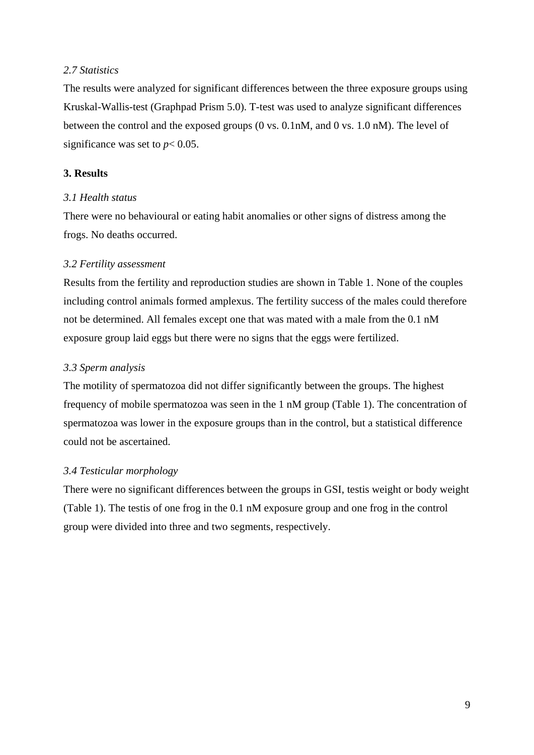### *2.7 Statistics*

The results were analyzed for significant differences between the three exposure groups using Kruskal-Wallis-test (Graphpad Prism 5.0). T-test was used to analyze significant differences between the control and the exposed groups (0 vs. 0.1nM, and 0 vs. 1.0 nM). The level of significance was set to  $p < 0.05$ .

## **3. Results**

## *3.1 Health status*

There were no behavioural or eating habit anomalies or other signs of distress among the frogs. No deaths occurred.

## *3.2 Fertility assessment*

Results from the fertility and reproduction studies are shown in Table 1. None of the couples including control animals formed amplexus. The fertility success of the males could therefore not be determined. All females except one that was mated with a male from the 0.1 nM exposure group laid eggs but there were no signs that the eggs were fertilized.

## *3.3 Sperm analysis*

The motility of spermatozoa did not differ significantly between the groups. The highest frequency of mobile spermatozoa was seen in the 1 nM group (Table 1). The concentration of spermatozoa was lower in the exposure groups than in the control, but a statistical difference could not be ascertained.

## *3.4 Testicular morphology*

There were no significant differences between the groups in GSI, testis weight or body weight (Table 1). The testis of one frog in the 0.1 nM exposure group and one frog in the control group were divided into three and two segments, respectively.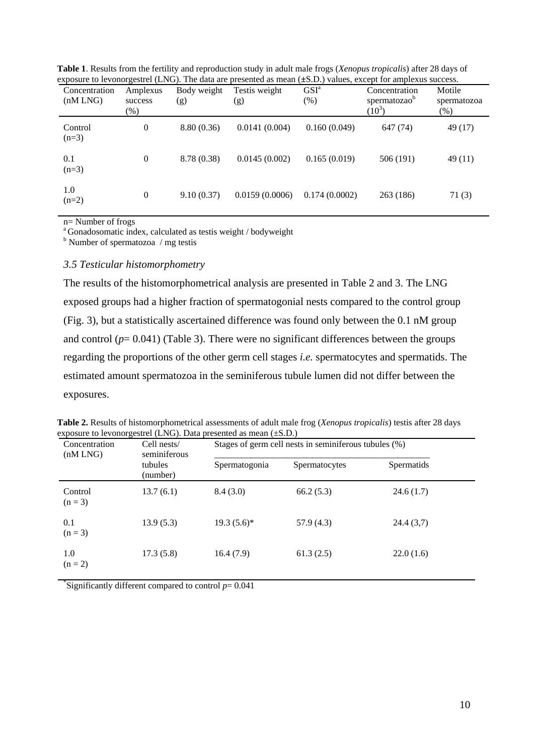| Concentration<br>(nM LNG) | Amplexus<br>success<br>$(\%)$ | Body weight<br>(g) | Testis weight<br>(g) | GSI <sup>a</sup><br>$(\%)$ | Concentration<br>spermatozao <sup>b</sup><br>$(10^3)$ | Motile<br>spermatozoa<br>$(\%)$ |
|---------------------------|-------------------------------|--------------------|----------------------|----------------------------|-------------------------------------------------------|---------------------------------|
| Control<br>$(n=3)$        | 0                             | 8.80(0.36)         | 0.0141(0.004)        | 0.160(0.049)               | 647 (74)                                              | 49 (17)                         |
| 0.1<br>$(n=3)$            | 0                             | 8.78 (0.38)        | 0.0145(0.002)        | 0.165(0.019)               | 506 (191)                                             | 49 (11)                         |
| 1.0<br>$(n=2)$            | $\boldsymbol{0}$              | 9.10(0.37)         | 0.0159(0.0006)       | 0.174(0.0002)              | 263 (186)                                             | 71(3)                           |

**Table 1**. Results from the fertility and reproduction study in adult male frogs (*Xenopus tropicalis*) after 28 days of exposure to levonorgestrel (LNG). The data are presented as mean (**±**S.D.) values, except for amplexus success.

n= Number of frogs

<sup>a</sup>Gonadosomatic index, calculated as testis weight / bodyweight

 $<sup>b</sup>$  Number of spermatozoa / mg testis</sup>

#### *3.5 Testicular histomorphometry*

The results of the histomorphometrical analysis are presented in Table 2 and 3. The LNG exposed groups had a higher fraction of spermatogonial nests compared to the control group (Fig. 3), but a statistically ascertained difference was found only between the 0.1 nM group and control  $(p= 0.041)$  (Table 3). There were no significant differences between the groups regarding the proportions of the other germ cell stages *i.e.* spermatocytes and spermatids. The estimated amount spermatozoa in the seminiferous tubule lumen did not differ between the exposures.

| Concentration<br>(nM LNG) | Cell nests/<br>seminiferous | exposure to levonorgestrel (LNG). Data presented as mean (±S.D.)<br>Stages of germ cell nests in seminiferous tubules (%) |               |            |  |
|---------------------------|-----------------------------|---------------------------------------------------------------------------------------------------------------------------|---------------|------------|--|
|                           | tubules<br>(number)         | Spermatogonia                                                                                                             | Spermatocytes | Spermatids |  |
| Control<br>$(n = 3)$      | 13.7(6.1)                   | 8.4(3.0)                                                                                                                  | 66.2(5.3)     | 24.6(1.7)  |  |
| 0.1<br>$(n = 3)$          | 13.9(5.3)                   | $19.3(5.6)^{*}$                                                                                                           | 57.9(4.3)     | 24.4(3,7)  |  |
| 1.0<br>$(n = 2)$          | 17.3(5.8)                   | 16.4(7.9)                                                                                                                 | 61.3(2.5)     | 22.0(1.6)  |  |

**Table 2.** Results of histomorphometrical assessments of adult male frog (*Xenopus tropicalis*) testis after 28 days  $\text{measured (LMC)}$ . Data presented as  $\text{LMC}$ .

<sup>\*</sup>Significantly different compared to control  $p = 0.041$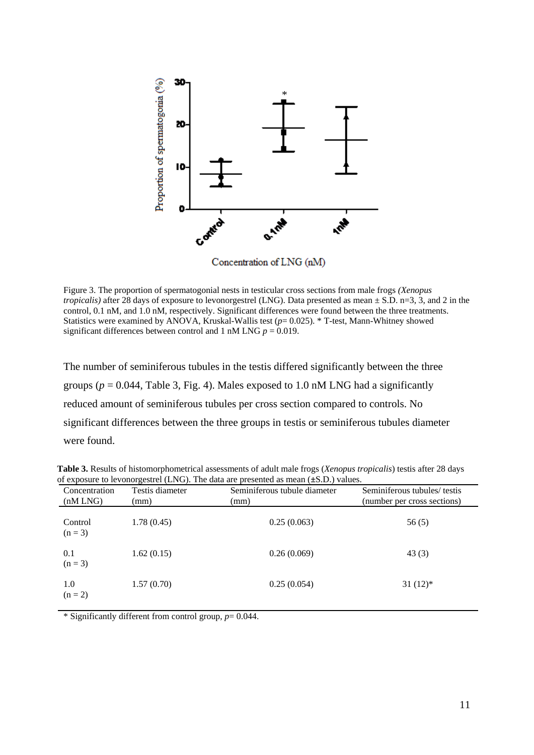

Concentration of LNG (nM)

Figure 3. The proportion of spermatogonial nests in testicular cross sections from male frogs *(Xenopus tropicalis*) after 28 days of exposure to levonorgestrel (LNG). Data presented as mean  $\pm$  S.D. n=3, 3, and 2 in the control, 0.1 nM, and 1.0 nM, respectively. Significant differences were found between the three treatments. Statistics were examined by ANOVA, Kruskal-Wallis test (*p*= 0.025). \* T-test, Mann-Whitney showed significant differences between control and 1 nM LNG  $p = 0.019$ .

The number of seminiferous tubules in the testis differed significantly between the three groups ( $p = 0.044$ , Table 3, Fig. 4). Males exposed to 1.0 nM LNG had a significantly reduced amount of seminiferous tubules per cross section compared to controls. No significant differences between the three groups in testis or seminiferous tubules diameter were found.

| Testis diameter<br>(mm) | Seminiferous tubule diameter<br>(mm) | Seminiferous tubules/ testis<br>(number per cross sections) |
|-------------------------|--------------------------------------|-------------------------------------------------------------|
| 1.78(0.45)              | 0.25(0.063)                          | 56(5)                                                       |
| 1.62(0.15)              | 0.26(0.069)                          | 43(3)                                                       |
| 1.57(0.70)              | 0.25(0.054)                          | $31(12)*$                                                   |
|                         |                                      |                                                             |

**Table 3.** Results of histomorphometrical assessments of adult male frogs (*Xenopus tropicalis*) testis after 28 days of exposure to levonorgestrel (LNG). The data are presented as mean (**±**S.D.) values.

\* Significantly different from control group, *p*= 0.044.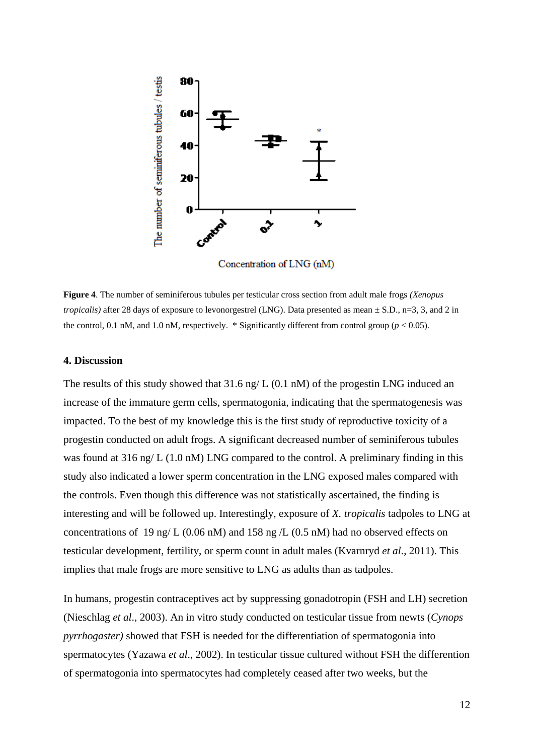

Concentration of LNG (nM)

**Figure 4**. The number of seminiferous tubules per testicular cross section from adult male frogs *(Xenopus tropicalis*) after 28 days of exposure to levonorgestrel (LNG). Data presented as mean  $\pm$  S.D., n=3, 3, and 2 in the control, 0.1 nM, and 1.0 nM, respectively.  $*$  Significantly different from control group ( $p < 0.05$ ).

#### **4. Discussion**

The results of this study showed that 31.6 ng/ L (0.1 nM) of the progestin LNG induced an increase of the immature germ cells, spermatogonia, indicating that the spermatogenesis was impacted. To the best of my knowledge this is the first study of reproductive toxicity of a progestin conducted on adult frogs. A significant decreased number of seminiferous tubules was found at 316 ng/ L (1.0 nM) LNG compared to the control. A preliminary finding in this study also indicated a lower sperm concentration in the LNG exposed males compared with the controls. Even though this difference was not statistically ascertained, the finding is interesting and will be followed up. Interestingly, exposure of *X. tropicalis* tadpoles to LNG at concentrations of 19 ng/ L (0.06 nM) and 158 ng /L (0.5 nM) had no observed effects on testicular development, fertility, or sperm count in adult males (Kvarnryd *et al*., 2011). This implies that male frogs are more sensitive to LNG as adults than as tadpoles.

In humans, progestin contraceptives act by suppressing gonadotropin (FSH and LH) secretion (Nieschlag *et al*., 2003). An in vitro study conducted on testicular tissue from newts (*Cynops pyrrhogaster)* showed that FSH is needed for the differentiation of spermatogonia into spermatocytes (Yazawa *et al*., 2002). In testicular tissue cultured without FSH the differention of spermatogonia into spermatocytes had completely ceased after two weeks, but the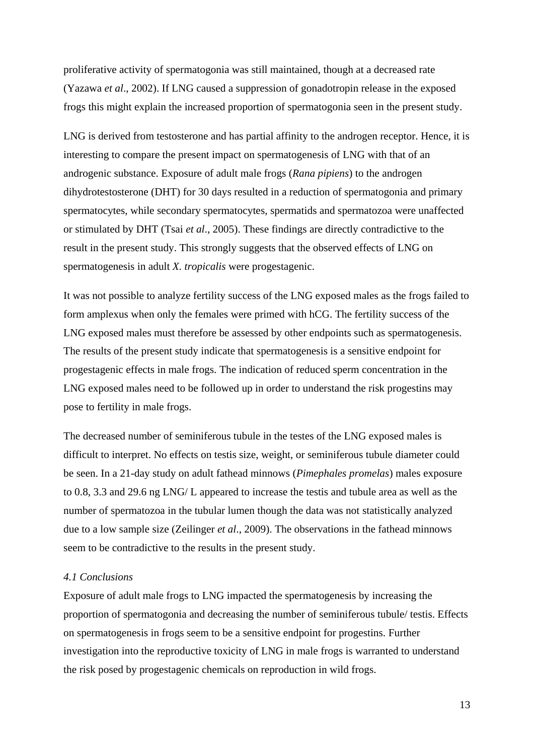proliferative activity of spermatogonia was still maintained, though at a decreased rate (Yazawa *et al*., 2002). If LNG caused a suppression of gonadotropin release in the exposed frogs this might explain the increased proportion of spermatogonia seen in the present study.

LNG is derived from testosterone and has partial affinity to the androgen receptor. Hence, it is interesting to compare the present impact on spermatogenesis of LNG with that of an androgenic substance. Exposure of adult male frogs (*Rana pipiens*) to the androgen dihydrotestosterone (DHT) for 30 days resulted in a reduction of spermatogonia and primary spermatocytes, while secondary spermatocytes, spermatids and spermatozoa were unaffected or stimulated by DHT (Tsai *et al*., 2005). These findings are directly contradictive to the result in the present study. This strongly suggests that the observed effects of LNG on spermatogenesis in adult *X. tropicalis* were progestagenic.

It was not possible to analyze fertility success of the LNG exposed males as the frogs failed to form amplexus when only the females were primed with hCG. The fertility success of the LNG exposed males must therefore be assessed by other endpoints such as spermatogenesis. The results of the present study indicate that spermatogenesis is a sensitive endpoint for progestagenic effects in male frogs. The indication of reduced sperm concentration in the LNG exposed males need to be followed up in order to understand the risk progestins may pose to fertility in male frogs.

The decreased number of seminiferous tubule in the testes of the LNG exposed males is difficult to interpret. No effects on testis size, weight, or seminiferous tubule diameter could be seen. In a 21-day study on adult fathead minnows (*Pimephales promelas*) males exposure to 0.8, 3.3 and 29.6 ng LNG/ L appeared to increase the testis and tubule area as well as the number of spermatozoa in the tubular lumen though the data was not statistically analyzed due to a low sample size (Zeilinger *et al*., 2009). The observations in the fathead minnows seem to be contradictive to the results in the present study.

#### *4.1 Conclusions*

Exposure of adult male frogs to LNG impacted the spermatogenesis by increasing the proportion of spermatogonia and decreasing the number of seminiferous tubule/ testis. Effects on spermatogenesis in frogs seem to be a sensitive endpoint for progestins. Further investigation into the reproductive toxicity of LNG in male frogs is warranted to understand the risk posed by progestagenic chemicals on reproduction in wild frogs.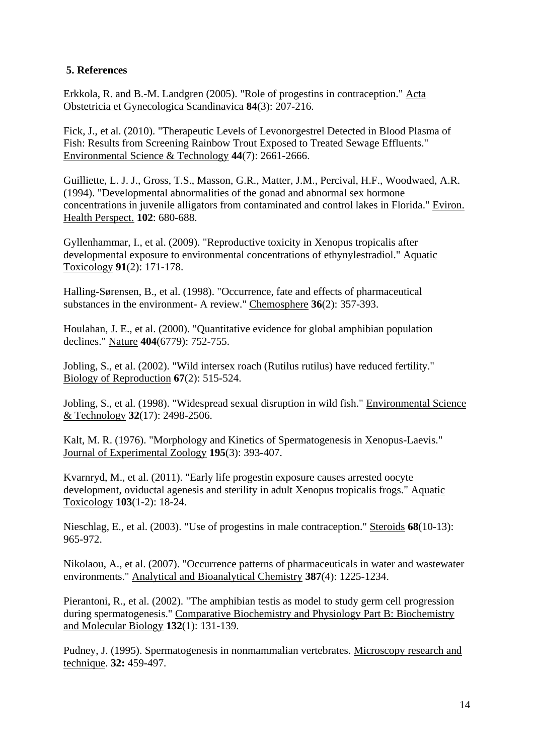## **5. References**

Erkkola, R. and B.-M. Landgren (2005). "Role of progestins in contraception." Acta Obstetricia et Gynecologica Scandinavica **84**(3): 207-216.

Fick, J., et al. (2010). "Therapeutic Levels of Levonorgestrel Detected in Blood Plasma of Fish: Results from Screening Rainbow Trout Exposed to Treated Sewage Effluents." Environmental Science & Technology **44**(7): 2661-2666.

Guilliette, L. J. J., Gross, T.S., Masson, G.R., Matter, J.M., Percival, H.F., Woodwaed, A.R. (1994). "Developmental abnormalities of the gonad and abnormal sex hormone concentrations in juvenile alligators from contaminated and control lakes in Florida." Eviron. Health Perspect. **102**: 680-688.

Gyllenhammar, I., et al. (2009). "Reproductive toxicity in Xenopus tropicalis after developmental exposure to environmental concentrations of ethynylestradiol." Aquatic Toxicology **91**(2): 171-178.

Halling-Sørensen, B., et al. (1998). "Occurrence, fate and effects of pharmaceutical substances in the environment- A review." Chemosphere **36**(2): 357-393.

Houlahan, J. E., et al. (2000). "Quantitative evidence for global amphibian population declines." Nature **404**(6779): 752-755.

Jobling, S., et al. (2002). "Wild intersex roach (Rutilus rutilus) have reduced fertility." Biology of Reproduction **67**(2): 515-524.

Jobling, S., et al. (1998). "Widespread sexual disruption in wild fish." Environmental Science & Technology **32**(17): 2498-2506.

Kalt, M. R. (1976). "Morphology and Kinetics of Spermatogenesis in Xenopus-Laevis." Journal of Experimental Zoology **195**(3): 393-407.

Kvarnryd, M., et al. (2011). "Early life progestin exposure causes arrested oocyte development, oviductal agenesis and sterility in adult Xenopus tropicalis frogs." Aquatic Toxicology **103**(1-2): 18-24.

Nieschlag, E., et al. (2003). "Use of progestins in male contraception." Steroids **68**(10-13): 965-972.

Nikolaou, A., et al. (2007). "Occurrence patterns of pharmaceuticals in water and wastewater environments." Analytical and Bioanalytical Chemistry **387**(4): 1225-1234.

Pierantoni, R., et al. (2002). "The amphibian testis as model to study germ cell progression during spermatogenesis." Comparative Biochemistry and Physiology Part B: Biochemistry and Molecular Biology **132**(1): 131-139.

Pudney, J. (1995). Spermatogenesis in nonmammalian vertebrates. Microscopy research and technique. **32:** 459-497.